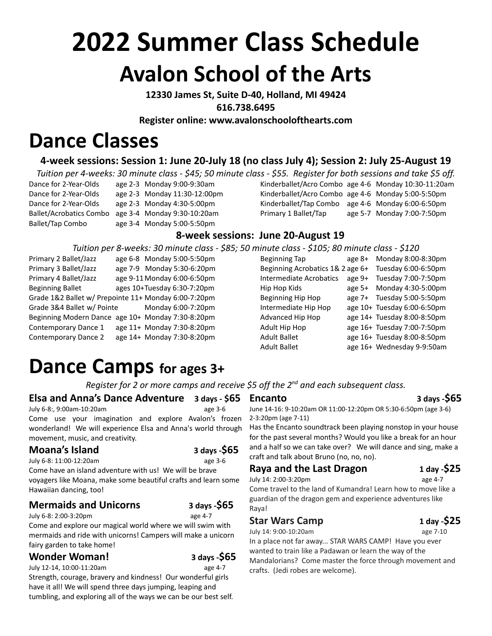# **2022 Summer Class Schedule Avalon School of the Arts**

**12330 James St, Suite D-40, Holland, MI 49424 616.738.6495**

**Register online: [www.avalonschoolofthearts.com](http://www.avalonschoolofthearts.com)**

# **Dance Classes**

## **4-week sessions: Session 1: June 20-July 18 (no class July 4); Session 2: July 25-August 19**

*Tuition per 4-weeks: 30 minute class - \$45; 50 minute class - \$55. Register for both sessions and take \$5 off.*

| Dance for 2-Year-Olds          | age 2-3 Monday 9:00-9:30am  |
|--------------------------------|-----------------------------|
| Dance for 2-Year-Olds          | age 2-3 Monday 11:30-12:00p |
| Dance for 2-Year-Olds          | age 2-3 Monday 4:30-5:00pm  |
| <b>Ballet/Acrobatics Combo</b> | age 3-4 Monday 9:30-10:20am |
| Ballet/Tap Combo               | age 3-4 Monday 5:00-5:50pm  |

ay 9:00-9:30am Kinderballet/Acro Combo age 4-6 Monday 10:30-11:20am ay 11:30-12:00pm Kinderballet/Acro Combo age 4-6 Monday 5:00-5:50pm ay 4:30-5:00pm Kinderballet/Tap Combo age 4-6 Monday 6:00-6:50pm ay 9:30-10:20am Primary 1 Ballet/Tap age 5-7 Monday 7:00-7:50pm

### **8-week sessions: June 20-August 19**

#### *Tuition per 8-weeks: 30 minute class - \$85; 50 minute class - \$105; 80 minute class - \$120*

| Primary 2 Ballet/Jazz                                | age 6-8 Monday 5:00-5:50pm  | Beginning Tap                    | age 8+ | Monday 8:00-8:30pm          |
|------------------------------------------------------|-----------------------------|----------------------------------|--------|-----------------------------|
| Primary 3 Ballet/Jazz                                | age 7-9 Monday 5:30-6:20pm  | Beginning Acrobatics 1& 2 age 6+ |        | Tuesday 6:00-6:50pm         |
| Primary 4 Ballet/Jazz                                | age 9-11 Monday 6:00-6:50pm | Intermediate Acrobatics          | age 9+ | Tuesday 7:00-7:50pm         |
| Beginning Ballet                                     | ages 10+Tuesday 6:30-7:20pm | Hip Hop Kids                     | age 5+ | Monday 4:30-5:00pm          |
| Grade 1&2 Ballet w/ Prepointe 11+ Monday 6:00-7:20pm |                             | Beginning Hip Hop                |        | age 7+ Tuesday 5:00-5:50pm  |
| Grade 3&4 Ballet w/ Pointe                           | Monday 6:00-7:20pm          | Intermediate Hip Hop             |        | age 10+ Tuesday 6:00-6:50pm |
| Beginning Modern Dance age 10+ Monday 7:30-8:20pm    |                             | Advanced Hip Hop                 |        | age 14+ Tuesday 8:00-8:50pm |
| Contemporary Dance 1                                 | age 11+ Monday 7:30-8:20pm  | Adult Hip Hop                    |        | age 16+ Tuesday 7:00-7:50pm |
| Contemporary Dance 2                                 | age 14+ Monday 7:30-8:20pm  | Adult Ballet                     |        | age 16+ Tuesday 8:00-8:50pm |
|                                                      |                             | <b>Adult Ballet</b>              |        | age 16+ Wednesday 9-9:50am  |

# **Dance Camps for ages 3+**

*Register for 2 or more camps and receive \$5 off the 2nd and each subsequent class.*

#### **Elsa and Anna's Dance Adventure 3 days - \$65**

July 6-8:, 9:00am-10:20am age 3-6

Come use your imagination and explore Avalon's frozen wonderland! We will experience Elsa and Anna's world through movement, music, and creativity.

#### **Moana's Island 3 days -\$65**

July 6-8: 11:00-12:20am age 3-6

Come have an island adventure with us! We will be brave voyagers like Moana, make some beautiful crafts and learn some Hawaiian dancing, too!

### **Mermaids and Unicorns 3 days -\$65**

July 6-8: 2:00-3:20pm age 4-7

Come and explore our magical world where we will swim with mermaids and ride with unicorns! Campers will make a unicorn fairy garden to take home!

### **Wonder Woman! 3 days -\$65**

July 12-14, 10:00-11:20am age 4-7

Strength, courage, bravery and kindness! Our wonderful girls have it all! We will spend three days jumping, leaping and tumbling, and exploring all of the ways we can be our best self.

June 14-16: 9-10:20am OR 11:00-12:20pm OR 5:30-6:50pm (age 3-6) 2-3:20pm (age 7-11)

Has the Encanto soundtrack been playing nonstop in your house for the past several months? Would you like a break for an hour and a half so we can take over? We will dance and sing, make a craft and talk about Bruno (no, no, no).

### **Raya and the Last Dragon 1 day -\$25**

July 14: 2:00-3:20pm age 4-7 Come travel to the land of Kumandra! Learn how to move like a guardian of the dragon gem and experience adventures like Raya!

### **Star Wars Camp 1 day -\$25**

July 14: 9:00-10:20am age 7-10

In a place not far away... STAR WARS CAMP! Have you ever wanted to train like a Padawan or learn the way of the Mandalorians? Come master the force through movement and crafts. (Jedi robes are welcome).

**Encanto 3 days -\$65**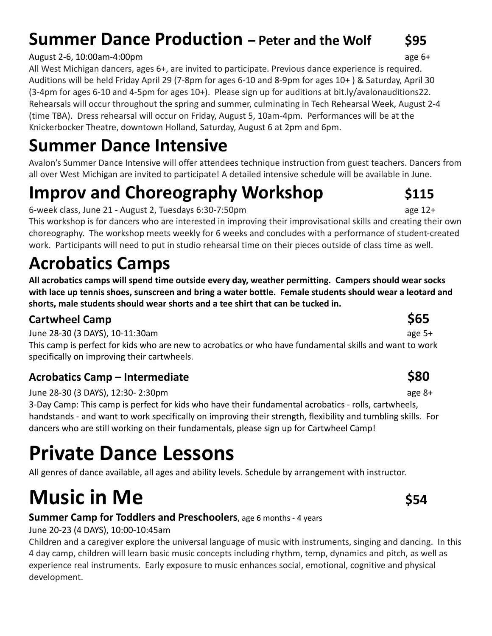## **Summer Dance Production** – Peter and the Wolf 595

### August 2-6, 10:00am-4:00pm age 6+

All West Michigan dancers, ages 6+, are invited to participate. Previous dance experience is required. Auditions will be held Friday April 29 (7-8pm for ages 6-10 and 8-9pm for ages 10+ ) & Saturday, April 30 (3-4pm for ages 6-10 and 4-5pm for ages 10+). Please sign up for auditions at bit.ly/avalonauditions22. Rehearsals will occur throughout the spring and summer, culminating in Tech Rehearsal Week, August 2-4 (time TBA). Dress rehearsal will occur on Friday, August 5, 10am-4pm. Performances will be at the Knickerbocker Theatre, downtown Holland, Saturday, August 6 at 2pm and 6pm.

# **Summer Dance Intensive**

Avalon's Summer Dance Intensive will offer attendees technique instruction from guest teachers. Dancers from all over West Michigan are invited to participate! A detailed intensive schedule will be available in June.

# **Improv and Choreography Workshop**  $\qquad$  **\$115**

6-week class, June 21 - August 2, Tuesdays 6:30-7:50pm and a set the same 12+

This workshop is for dancers who are interested in improving their improvisational skills and creating their own choreography. The workshop meets weekly for 6 weeks and concludes with a performance of student-created work. Participants will need to put in studio rehearsal time on their pieces outside of class time as well.

# **Acrobatics Camps**

**All acrobatics camps will spend time outside every day, weather permitting. Campers should wear socks with lace up tennis shoes, sunscreen and bring a water bottle. Female students should wear a leotard and shorts, male students should wear shorts and a tee shirt that can be tucked in.**

## **Cartwheel Camp \$65**

June 28-30 (3 DAYS), 10-11:30am age 5+

This camp is perfect for kids who are new to acrobatics or who have fundamental skills and want to work specifically on improving their cartwheels.

## **Acrobatics Camp – Intermediate \$80**

June 28-30 (3 DAYS), 12:30- 2:30pm age 8+

3-Day Camp: This camp is perfect for kids who have their fundamental acrobatics - rolls, cartwheels, handstands - and want to work specifically on improving their strength, flexibility and tumbling skills. For dancers who are still working on their fundamentals, please sign up for Cartwheel Camp!

# **Private Dance Lessons**

All genres of dance available, all ages and ability levels. Schedule by arrangement with instructor.

# **Music in Me \$54**

## **Summer Camp for Toddlers and Preschoolers**, age 6 months - 4 years

## June 20-23 (4 DAYS), 10:00-10:45am

Children and a caregiver explore the universal language of music with instruments, singing and dancing. In this 4 day camp, children will learn basic music concepts including rhythm, temp, dynamics and pitch, as well as experience real instruments. Early exposure to music enhances social, emotional, cognitive and physical development.